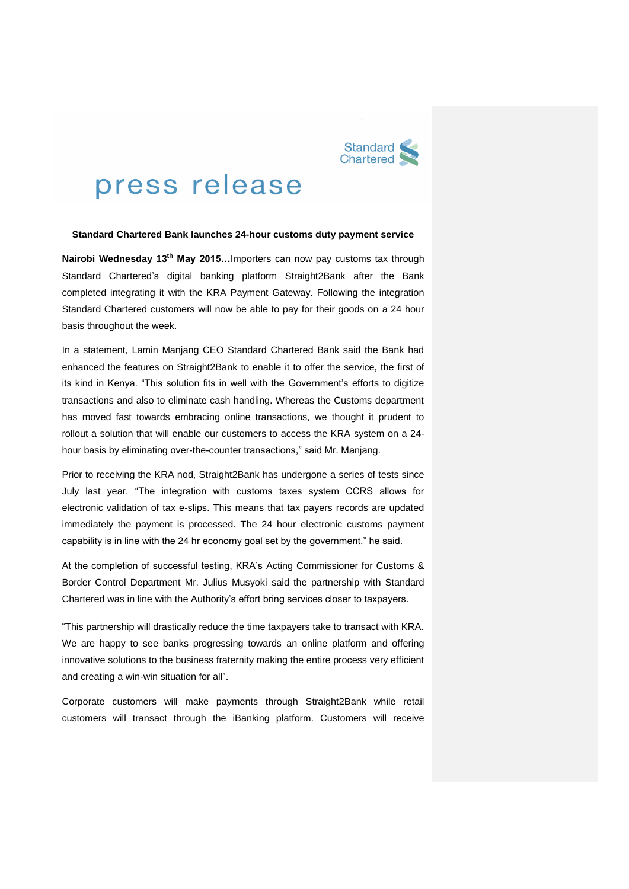

# press release

## **Standard Chartered Bank launches 24-hour customs duty payment service**

**Nairobi Wednesday 13th May 2015…**Importers can now pay customs tax through Standard Chartered's digital banking platform Straight2Bank after the Bank completed integrating it with the KRA Payment Gateway. Following the integration Standard Chartered customers will now be able to pay for their goods on a 24 hour basis throughout the week.

In a statement, Lamin Manjang CEO Standard Chartered Bank said the Bank had enhanced the features on Straight2Bank to enable it to offer the service, the first of its kind in Kenya. "This solution fits in well with the Government's efforts to digitize transactions and also to eliminate cash handling. Whereas the Customs department has moved fast towards embracing online transactions, we thought it prudent to rollout a solution that will enable our customers to access the KRA system on a 24 hour basis by eliminating over-the-counter transactions," said Mr. Manjang.

Prior to receiving the KRA nod, Straight2Bank has undergone a series of tests since July last year. "The integration with customs taxes system CCRS allows for electronic validation of tax e-slips. This means that tax payers records are updated immediately the payment is processed. The 24 hour electronic customs payment capability is in line with the 24 hr economy goal set by the government," he said.

At the completion of successful testing, KRA's Acting Commissioner for Customs & Border Control Department Mr. Julius Musyoki said the partnership with Standard Chartered was in line with the Authority's effort bring services closer to taxpayers.

"This partnership will drastically reduce the time taxpayers take to transact with KRA. We are happy to see banks progressing towards an online platform and offering innovative solutions to the business fraternity making the entire process very efficient and creating a win-win situation for all".

Corporate customers will make payments through Straight2Bank while retail customers will transact through the iBanking platform. Customers will receive